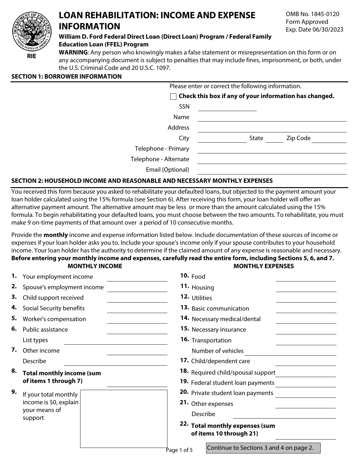

## **LOAN REHABILITATION: INCOME AND EXPENSE INFORMATION**

OMB No. 1845-0120 Form Approved Exp. Date 06/30/2023

#### **William D. Ford Federal Direct Loan (Direct Loan) Program / Federal Family Education Loan (FFEL) Program**

**WARNING**: Any person who knowingly makes a false statement or misrepresentation on this form or on any accompanying document is subject to penalties that may include fines, imprisonment, or both, under the U.S. Criminal Code and 20 U.S.C. 1097.

#### **SECTION 1: BORROWER INFORMATION**

| Please enter or correct the following information.             |  |       |          |  |
|----------------------------------------------------------------|--|-------|----------|--|
| $\vert$ Check this box if any of your information has changed. |  |       |          |  |
| <b>SSN</b>                                                     |  |       |          |  |
| Name                                                           |  |       |          |  |
| <b>Address</b>                                                 |  |       |          |  |
| City                                                           |  | State | Zip Code |  |
| Telephone - Primary                                            |  |       |          |  |
| Telephone - Alternate                                          |  |       |          |  |
| Email (Optional)                                               |  |       |          |  |

### **SECTION 2: HOUSEHOLD INCOME AND REASONABLE AND NECESSARY MONTHLY EXPENSES**

You received this form because you asked to rehabilitate your defaulted loans, but objected to the payment amount your loan holder calculated using the 15% formula (see Section 6). After receiving this form, your loan holder will offer an alternative payment amount. The alternative amount may be less or more than the amount calculated using the 15% formula. To begin rehabilitating your defaulted loans, you must choose between the two amounts. To rehabilitate, you must make 9 on-time payments of that amount over a period of 10 consecutive months.

Provide the **monthly** income and expense information listed below. Include documentation of these sources of income or expenses if your loan holder asks you to. Include your spouse's income only if your spouse contributes to your household income. Your loan holder has the authority to determine if the claimed amount of any expense is reasonable and necessary. **Before entering your monthly income and expenses, carefully read the entire form, including Sections 5, 6, and 7.**

# **MONTHLY INCOME MONTHLY EXPENSES**

|    | 1. Your employment income                                                   | 10. Food                                                   |  |  |
|----|-----------------------------------------------------------------------------|------------------------------------------------------------|--|--|
| 2. | Spouse's employment income                                                  | 11. Housing                                                |  |  |
| З. | Child support received                                                      | 12. Utilities                                              |  |  |
| 4. | Social Security benefits                                                    | 13. Basic communication                                    |  |  |
| 5. | Worker's compensation                                                       | <b>14.</b> Necessary medical/dental                        |  |  |
| 6. | Public assistance                                                           | <b>15.</b> Necessary insurance                             |  |  |
|    | List types                                                                  | 16. Transportation                                         |  |  |
| 7. | Other income                                                                | Number of vehicles                                         |  |  |
|    | Describe                                                                    | 17. Child/dependent care                                   |  |  |
| 8. | <b>Total monthly income (sum</b><br>of items 1 through 7)                   | 18. Required child/spousal support                         |  |  |
|    |                                                                             | 19. Federal student loan payments                          |  |  |
| 9. | If your total monthly<br>income is \$0, explain<br>your means of<br>support | 20. Private student loan payments                          |  |  |
|    |                                                                             | 21. Other expenses                                         |  |  |
|    |                                                                             | Describe                                                   |  |  |
|    |                                                                             | 22. Total monthly expenses (sum<br>of items 10 through 21) |  |  |
|    |                                                                             | Continue to Sections 3 and 4 on page 2.<br>Page 1 of 5     |  |  |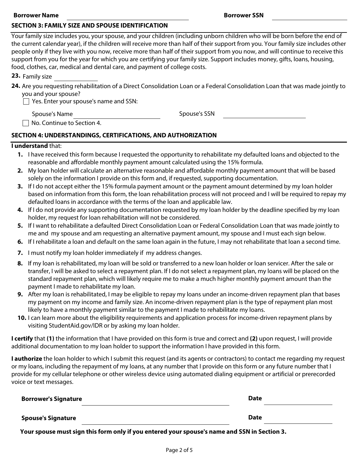#### **Borrower Name Borrower SSN**

#### **SECTION 3: FAMILY SIZE AND SPOUSE IDENTIFICATION**

**23.** Family size

**24.** Are you requesting rehabilitation of a Direct Consolidation Loan or a Federal Consolidation Loan that was made jointly to you and your spouse?

 $\Box$  Yes. Enter your spouse's name and SSN:

Spouse's Name Spouse's SSN

No. Continue to Section 4.

#### **SECTION 4: UNDERSTANDINGS, CERTIFICATIONS, AND AUTHORIZATION**

#### **I understand** that:

- **1.** I have received this form because I requested the opportunity to rehabilitate my defaulted loans and objected to the reasonable and affordable monthly payment amount calculated using the 15% formula.
- **2.** My loan holder will calculate an alternative reasonable and affordable monthly payment amount that will be based solely on the information I provide on this form and, if requested, supporting documentation.
- **3.** If I do not accept either the 15% formula payment amount or the payment amount determined by my loan holder based on information from this form, the loan rehabilitation process will not proceed and I will be required to repay my defaulted loans in accordance with the terms of the loan and applicable law.
- **4.** If I do not provide any supporting documentation requested by my loan holder by the deadline specified by my loan holder, my request for loan rehabilitation will not be considered.
- **5.** If I want to rehabilitate a defaulted Direct Consolidation Loan or Federal Consolidation Loan that was made jointly to me and my spouse and am requesting an alternative payment amount, my spouse and I must each sign below.
- **6.** If I rehabilitate a loan and default on the same loan again in the future, I may not rehabilitate that loan a second time.
- **7.** I must notify my loan holder immediately if my address changes.
- **8.** If my loan is rehabilitated, my loan will be sold or transferred to a new loan holder or loan servicer. After the sale or transfer, I will be asked to select a repayment plan. If I do not select a repayment plan, my loans will be placed on the standard repayment plan, which will likely require me to make a much higher monthly payment amount than the payment I made to rehabilitate my loan.
- **9.** After my loan is rehabilitated, I may be eligible to repay my loans under an income-driven repayment plan that bases my payment on my income and family size. An income-driven repayment plan is the type of repayment plan most likely to have a monthly payment similar to the payment I made to rehabilitate my loans.
- **10.** I can learn more about the eligibility requirements and application process for income-driven repayment plans by visiting StudentAid.gov/IDR or by asking my loan holder.

**I certify** that **(1)** the information that I have provided on this form is true and correct and **(2)** upon request, I will provide additional documentation to my loan holder to support the information I have provided in this form.

**I authorize** the loan holder to which I submit this request (and its agents or contractors) to contact me regarding my request or my loans, including the repayment of my loans, at any number that I provide on this form or any future number that I provide for my cellular telephone or other wireless device using automated dialing equipment or artificial or prerecorded voice or text messages.

| <b>Borrower's Signature</b> | <b>Date</b> |  |
|-----------------------------|-------------|--|
| <b>Spouse's Signature</b>   | <b>Date</b> |  |

**Your spouse must sign this form only if you entered your spouse's name and SSN in Section 3.**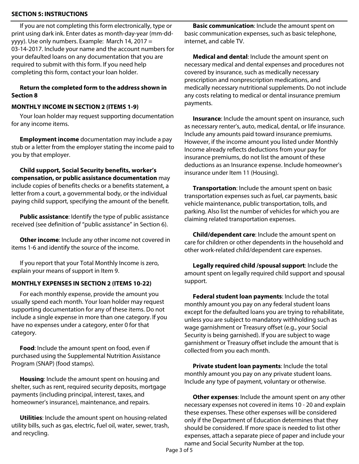#### **SECTION 5: INSTRUCTIONS**

If you are not completing this form electronically, type or print using dark ink. Enter dates as month-day-year (mm-ddyyyy). Use only numbers. Example: March 14, 2017 = 03-14-2017. Include your name and the account numbers for your defaulted loans on any documentation that you are required to submit with this form. If you need help completing this form, contact your loan holder.

#### **Return the completed form to the address shown in Section 8**

#### **MONTHLY INCOME IN SECTION 2 (ITEMS 1-9)**

Your loan holder may request supporting documentation for any income items.

**Employment income** documentation may include a pay stub or a letter from the employer stating the income paid to you by that employer.

**Child support, Social Security benefits, worker's compensation, or public assistance documentation** may include copies of benefits checks or a benefits statement, a letter from a court, a governmental body, or the individual paying child support, specifying the amount of the benefit.

**Public assistance**: Identify the type of public assistance received (see definition of "public assistance" in Section 6).

**Other income**: Include any other income not covered in items 1-6 and identify the source of the income.

If you report that your Total Monthly Income is zero, explain your means of support in Item 9.

### **MONTHLY EXPENSES IN SECTION 2 (ITEMS 10-22)**

For each monthly expense, provide the amount you usually spend each month. Your loan holder may request supporting documentation for any of these items. Do not include a single expense in more than one category. If you have no expenses under a category, enter 0 for that category.

**Food**: Include the amount spent on food, even if purchased using the Supplemental Nutrition Assistance Program (SNAP) (food stamps).

**Housing**: Include the amount spent on housing and shelter, such as rent, required security deposits, mortgage payments (including principal, interest, taxes, and homeowner's insurance), maintenance, and repairs.

**Utilities**: Include the amount spent on housing-related utility bills, such as gas, electric, fuel oil, water, sewer, trash, and recycling.

**Basic communication**: Include the amount spent on basic communication expenses, such as basic telephone, internet, and cable TV.

**Medical and dental**: Include the amount spent on necessary medical and dental expenses and procedures not covered by insurance, such as medically necessary prescription and nonprescription medications, and medically necessary nutritional supplements. Do not include any costs relating to medical or dental insurance premium payments.

**Insurance**: Include the amount spent on insurance, such as necessary renter's, auto, medical, dental, or life insurance. Include any amounts paid toward insurance premiums. However, if the income amount you listed under Monthly Income already reflects deductions from your pay for insurance premiums, do not list the amount of these deductions as an Insurance expense. Include homeowner's insurance under Item 11 (Housing).

**Transportation**: Include the amount spent on basic transportation expenses such as fuel, car payments, basic vehicle maintenance, public transportation, tolls, and parking. Also list the number of vehicles for which you are claiming related transportation expenses.

**Child/dependent care**: Include the amount spent on care for children or other dependents in the household and other work-related child/dependent care expenses.

**Legally required child /spousal support**: Include the amount spent on legally required child support and spousal support.

**Federal student loan payments**: Include the total monthly amount you pay on any federal student loans except for the defaulted loans you are trying to rehabilitate, unless you are subject to mandatory withholding such as wage garnishment or Treasury offset (e.g., your Social Security is being garnished). If you are subject to wage garnishment or Treasury offset include the amount that is collected from you each month.

**Private student loan payments**: Include the total monthly amount you pay on any private student loans. Include any type of payment, voluntary or otherwise.

**Other expenses**: Include the amount spent on any other necessary expenses not covered in items 10 - 20 and explain these expenses. These other expenses will be considered only if the Department of Education determines that they should be considered. If more space is needed to list other expenses, attach a separate piece of paper and include your name and Social Security Number at the top.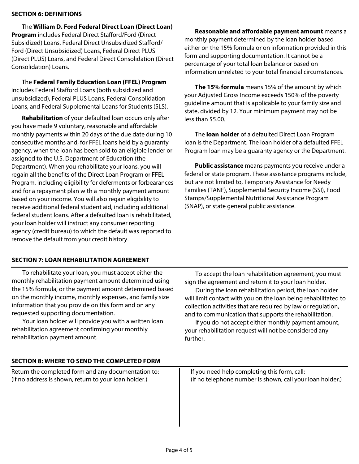#### **SECTION 6: DEFINITIONS**

The **William D. Ford Federal Direct Loan (Direct Loan) Program** includes Federal Direct Stafford/Ford (Direct Subsidized) Loans, Federal Direct Unsubsidized Stafford/ Ford (Direct Unsubsidized) Loans, Federal Direct PLUS (Direct PLUS) Loans, and Federal Direct Consolidation (Direct Consolidation) Loans.

The **Federal Family Education Loan (FFEL) Program**  includes Federal Stafford Loans (both subsidized and unsubsidized), Federal PLUS Loans, Federal Consolidation Loans, and Federal Supplemental Loans for Students (SLS).

**Rehabilitation** of your defaulted loan occurs only after you have made 9 voluntary, reasonable and affordable monthly payments within 20 days of the due date during 10 consecutive months and, for FFEL loans held by a guaranty agency, when the loan has been sold to an eligible lender or assigned to the U.S. Department of Education (the Department). When you rehabilitate your loans, you will regain all the benefits of the Direct Loan Program or FFEL Program, including eligibility for deferments or forbearances and for a repayment plan with a monthly payment amount based on your income. You will also regain eligibility to receive additional federal student aid, including additional federal student loans. After a defaulted loan is rehabilitated, your loan holder will instruct any consumer reporting agency (credit bureau) to which the default was reported to remove the default from your credit history.

**Reasonable and affordable payment amount** means a monthly payment determined by the loan holder based either on the 15% formula or on information provided in this form and supporting documentation. It cannot be a percentage of your total loan balance or based on information unrelated to your total financial circumstances.

**The 15% formula** means 15% of the amount by which your Adjusted Gross Income exceeds 150% of the poverty guideline amount that is applicable to your family size and state, divided by 12. Your minimum payment may not be less than \$5.00.

The **loan holder** of a defaulted Direct Loan Program loan is the Department. The loan holder of a defaulted FFEL Program loan may be a guaranty agency or the Department.

**Public assistance** means payments you receive under a federal or state program. These assistance programs include, but are not limited to, Temporary Assistance for Needy Families (TANF), Supplemental Security Income (SSI), Food Stamps/Supplemental Nutritional Assistance Program (SNAP), or state general public assistance.

#### **SECTION 7: LOAN REHABILITATION AGREEMENT**

To rehabilitate your loan, you must accept either the monthly rehabilitation payment amount determined using the 15% formula, or the payment amount determined based on the monthly income, monthly expenses, and family size information that you provide on this form and on any requested supporting documentation.

Your loan holder will provide you with a written loan rehabilitation agreement confirming your monthly rehabilitation payment amount.

To accept the loan rehabilitation agreement, you must sign the agreement and return it to your loan holder.

During the loan rehabilitation period, the loan holder will limit contact with you on the loan being rehabilitated to collection activities that are required by law or regulation, and to communication that supports the rehabilitation.

If you do not accept either monthly payment amount, your rehabilitation request will not be considered any further.

#### **SECTION 8: WHERE TO SEND THE COMPLETED FORM**

Return the completed form and any documentation to: (If no address is shown, return to your loan holder.)

If you need help completing this form, call: (If no telephone number is shown, call your loan holder.)